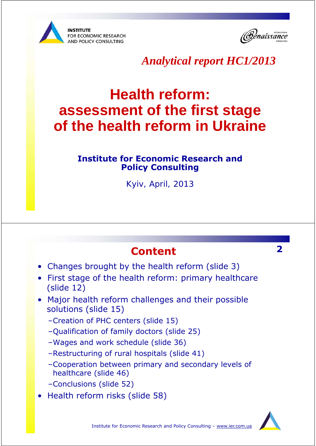



### *Analytical report HC1/2013*

# **Health reform: assessment of the first stage of the health reform in Ukraine**

### **Institute for Economic Research and Policy Consulting**

*Kyiv, April, 2013*

### **Content 2**

- Changes brought by the health reform (slide 3)
- First stage of the health reform: primary healthcare (slide 12)
- Major health reform challenges and their possible solutions (slide 15)
	- –Creation of PHC centers (slide 15)
	- –Qualification of family doctors (slide 25)
	- –Wages and work schedule (slide 36)
	- –Restructuring of rural hospitals (slide 41)
	- –Cooperation between primary and secondary levels of healthcare (slide 46)
	- –Conclusions (slide 52)
- Health reform risks (slide 58)

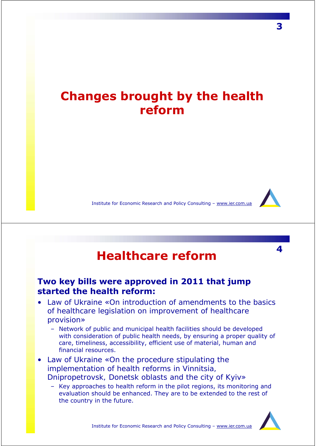## **Changes brought by the health reform**

Institute for Economic Research and Policy Consulting – www.ier.com.ua

# **<sup>4</sup> Healthcare reform**

### **Two key bills were approved in 2011 that jump started the health reform:**

- Law of Ukraine «*On introduction of amendments to the basics of healthcare legislation on improvement of healthcare provision*»
	- Network of public and municipal health facilities should be developed with consideration of public health needs, by ensuring a proper quality of care, timeliness, accessibility, efficient use of material, human and financial resources.
- Law of Ukraine «*On the procedure stipulating the implementation of health reforms in Vinnitsia, Dnipropetrovsk, Donetsk oblasts and the city of Kyiv*»
	- Key approaches to health reform in the pilot regions, its monitoring and evaluation should be enhanced. They are to be extended to the rest of the country in the future.

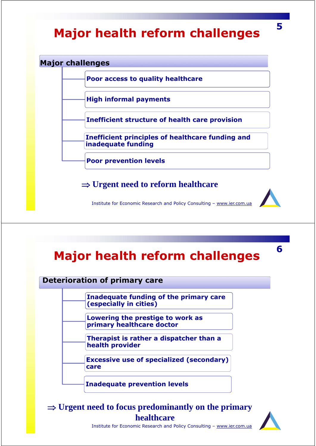# **<sup>5</sup> Major health reform challenges**

#### **Major challenges**

**Poor access to quality healthcare**

**High informal payments**

**Inefficient structure of health care provision**

**Inefficient principles of healthcare funding and inadequate funding**

**Poor prevention levels**

**Urgent need to reform healthcare**

Institute for Economic Research and Policy Consulting – www.ier.com.ua

# **<sup>6</sup> Major health reform challenges**

**Deterioration of primary care**

**Inadequate funding of the primary care (especially in cities)**

**Lowering the prestige to work as primary healthcare doctor**

**Therapist is rather a dispatcher than a health provider**

**Excessive use of specialized (secondary) care**

**Inadequate prevention levels**

 **Urgent need to focus predominantly on the primary healthcare**



Institute for Economic Research and Policy Consulting – www.ier.com.ua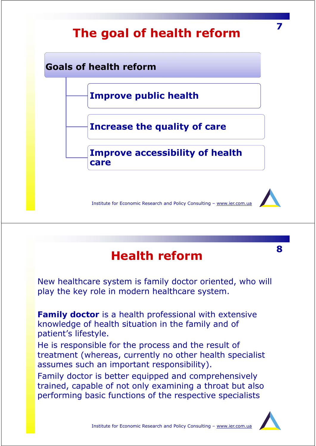

# **<sup>8</sup> Health reform**

New healthcare system is family doctor oriented, who will play the key role in modern healthcare system.

*Family doctor* is a health professional with extensive knowledge of health situation in the family and of patient's lifestyle.

He is responsible for the process and the result of treatment (whereas, currently no other health specialist assumes such an important responsibility).

Family doctor is better equipped and comprehensively trained, capable of not only examining a throat but also performing basic functions of the respective specialists

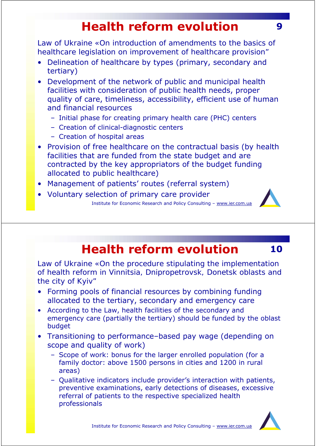# **Health reform evolution** 9

*Law of Ukraine «On introduction of amendments to the basics of healthcare legislation on improvement of healthcare provision"* 

- Delineation of healthcare by types (primary, secondary and tertiary)
- Development of the network of public and municipal health facilities with consideration of public health needs, proper quality of care, timeliness, accessibility, efficient use of human and financial resources
	- Initial phase for creating primary health care (PHC) centers
	- Creation of clinical-diagnostic centers
	- Creation of hospital areas
- Provision of free healthcare on the contractual basis (by health facilities that are funded from the state budget and are contracted by the key appropriators of the budget funding allocated to public healthcare)
- Management of patients' routes (referral system)
- Institute for Economic Research and Policy Consulting www.ier.com.ua • Voluntary selection of primary care provider

# **Health reform evolution 10**

*Law of Ukraine «On the procedure stipulating the implementation of health reform in Vinnitsia, Dnipropetrovsk, Donetsk oblasts and the city of Kyiv"* 

- Forming pools of financial resources by combining funding allocated to the tertiary, secondary and emergency care
- According to the Law, health facilities of the secondary and emergency care (partially the tertiary) should be funded by the oblast budget
- Transitioning to performance–based pay wage (depending on scope and quality of work)
	- Scope of work: bonus for the larger enrolled population (for a family doctor: above 1500 persons in cities and 1200 in rural areas)
	- Qualitative indicators include provider's interaction with patients, preventive examinations, early detections of diseases, excessive referral of patients to the respective specialized health professionals

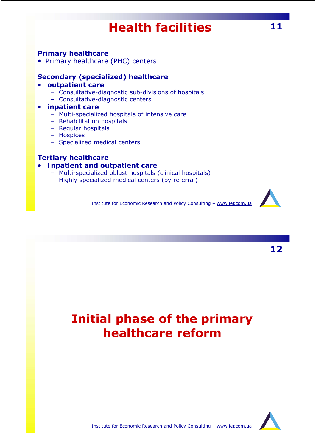# **Health facilities 11**

#### **Primary healthcare**

• Primary healthcare (PHC) centers

#### **Secondary (specialized) healthcare**

#### • *outpatient care*

- Consultative-diagnostic sub-divisions of hospitals
- Consultative-diagnostic centers

#### • *inpatient care*

- Multi-specialized hospitals of intensive care
- Rehabilitation hospitals
- Regular hospitals
- Hospices
- Specialized medical centers

#### **Tertiary healthcare**

#### • *Inpatient and outpatient care*

- Multi-specialized oblast hospitals (clinical hospitals)
- Highly specialized medical centers (by referral)

Institute for Economic Research and Policy Consulting – www.ier.com.ua



**12**

## **Initial phase of the primary healthcare reform**

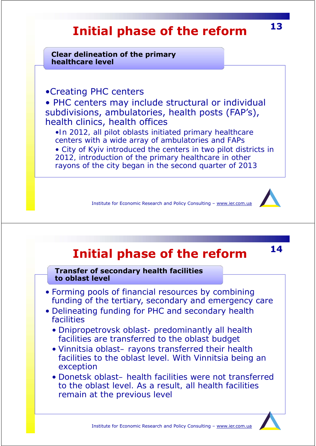# **<sup>13</sup> Initial phase of the reform**

**Clear delineation of the primary healthcare level**

•Creating PHC centers

• PHC centers may include structural or individual subdivisions, ambulatories, health posts (FAP's), health clinics, health offices

•*In 2012, all pilot oblasts initiated primary healthcare centers with a wide array of ambulatories and FAPs*

• *City of Kyiv introduced the centers in two pilot districts in 2012, introduction of the primary healthcare in other rayons of the city began in the second quarter of 2013*

Institute for Economic Research and Policy Consulting – www.ier.com.ua

**<sup>14</sup> Initial phase of the reform**

**Transfer of secondary health facilities to oblast level**

- Forming pools of financial resources by combining funding of the tertiary, secondary and emergency care
- Delineating funding for PHC and secondary health facilities
	- *Dnipropetrovsk oblast- predominantly all health facilities are transferred to the oblast budget*
	- *Vinnitsia oblast– rayons transferred their health facilities to the oblast level. With Vinnitsia being an exception*
	- *Donetsk oblast– health facilities were not transferred to the oblast level. As a result, all health facilities remain at the previous level*

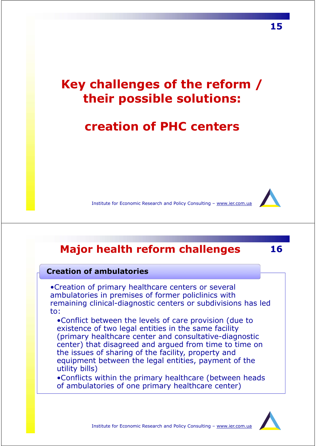## **Key challenges of the reform / their possible solutions:**

### *creation of PHC centers*

Institute for Economic Research and Policy Consulting – www.ier.com.ua

### **Major health reform challenges 16**

#### **Creation of ambulatories**

•Creation of primary healthcare centers or several ambulatories in premises of former policlinics with remaining clinical-diagnostic centers or subdivisions has led to:

•*Conflict between the levels of care provision* (due to existence of two legal entities in the same facility (primary healthcare center and consultative-diagnostic center) that disagreed and argued from time to time on the issues of sharing of the facility, property and equipment between the legal entities, payment of the utility bills)

•*Conflicts within the primary healthcare* (between heads of ambulatories of one primary healthcare center)

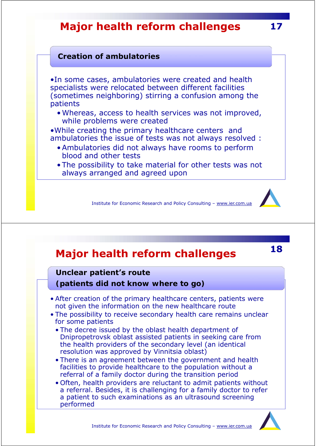### **Major health reform challenges 17**

### **Creation of ambulatories**

•In some cases, ambulatories were created and health specialists were relocated between different facilities (sometimes neighboring) stirring a confusion among the patients

•Whereas, access to health services was not improved, while problems were created

•While creating the primary healthcare centers and ambulatories the issue of tests was not always resolved :

- Ambulatories did not always have rooms to perform blood and other tests
- The possibility to take material for other tests was not always arranged and agreed upon

Institute for Economic Research and Policy Consulting – www.ier.com.ua

## **<sup>18</sup> Major health reform challenges**

#### **Unclear patient's route**

*(patients did not know where to go)*

- After creation of the primary healthcare centers, patients were not given the information on the new healthcare route
- The possibility to receive secondary health care remains unclear for some patients
	- The decree issued by the oblast health department of Dnipropetrovsk oblast assisted patients in seeking care from the health providers of the secondary level (an identical resolution was approved by Vinnitsia oblast)
	- There is an agreement between the government and health facilities to provide healthcare to the population without a referral of a family doctor during the transition period
	- Often, health providers are reluctant to admit patients without a referral. Besides, it is challenging for a family doctor to refer a patient to such examinations as an ultrasound screening performed

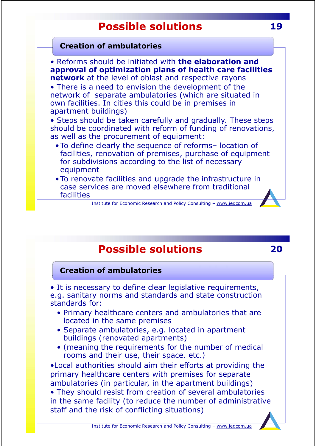#### **Creation of ambulatories**

• Reforms should be initiated with **the elaboration and approval of optimization plans of health care facilities network** at the level of oblast and respective rayons

• There is a need to envision the development of the network of separate ambulatories (which are situated in own facilities. In cities this could be in premises in apartment buildings)

• Steps should be taken carefully and gradually. These steps should be coordinated with reform of funding of renovations, as well as the procurement of equipment:

- To define clearly the sequence of reforms– location of facilities, renovation of premises, purchase of equipment for subdivisions according to the list of necessary equipment
- To renovate facilities and upgrade the infrastructure in case services are moved elsewhere from traditional facilities

Institute for Economic Research and Policy Consulting – www.ier.com.ua

### **Possible solutions 20**

#### **Creation of ambulatories**

• It is necessary to define clear legislative requirements, e.g. sanitary norms and standards and state construction standards for:

- Primary healthcare centers and ambulatories that are located in the same premises
- Separate ambulatories, e.g. located in apartment buildings (renovated apartments)
- *(meaning the requirements for the number of medical rooms and their use, their space, etc.)*

•Local authorities should aim their efforts at providing the primary healthcare centers with premises for separate ambulatories (in particular, in the apartment buildings) • They should resist from creation of several ambulatories in the same facility (to reduce the number of administrative staff and the risk of conflicting situations)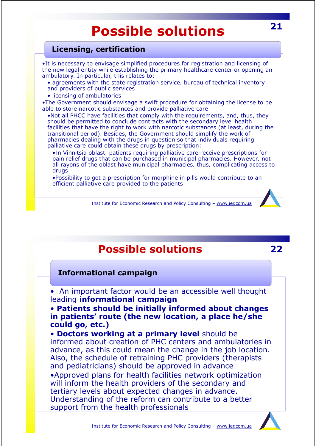### **Licensing, certification**

•It is necessary to envisage simplified procedures for registration and licensing of the new legal entity while establishing the primary healthcare center or opening an ambulatory. In particular, this relates to:

- *agreements with the state registration service, bureau of technical inventory and providers of public services*
- *licensing of ambulatories*

•The Government should envisage a swift procedure for obtaining the license to be able to store narcotic substances and provide palliative care

•Not all PHCC have facilities that comply with the requirements, and, thus, they should be permitted to conclude contracts with the secondary level health facilities that have the right to work with narcotic substances (at least, during the transitional period). Besides, the Government should simplify the work of pharmacies dealing with the drugs in question so that individuals requiring palliative care could obtain these drugs by prescription:

•*In Vinnitsia oblast, patients requiring palliative care receive prescriptions for*  pain relief drugs that can be purchased in municipal pharmacies. However, not *all rayons of the oblast have municipal pharmacies, thus, complicating access to drugs*

•Possibility to get a prescription for morphine in pills would contribute to an efficient palliative care provided to the patients



### **Possible solutions 22**

#### **Informational campaign**

• An important factor would be an accessible well thought leading **informational campaign**

• **Patients should be initially informed about changes in patients' route (the new location, a place he/she could go, etc.)**

• **Doctors working at a primary level** should be informed about creation of PHC centers and ambulatories in advance, as this could mean the change in the job location. Also, the schedule of retraining PHC providers (therapists and pediatricians) should be approved in advance •Approved plans for health facilities network optimization will inform the health providers of the secondary and tertiary levels about expected changes in advance. Understanding of the reform can contribute to a better support from the health professionals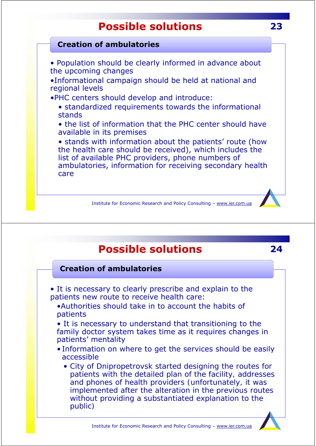### **Creation of ambulatories**

• Population should be clearly informed in advance about the upcoming changes

•Informational campaign should be held at national and regional levels

•PHC centers should develop and introduce:

• standardized requirements towards the informational stands

• the list of information that the PHC center should have available in its premises

• stands with information about the patients' route (how the health care should be received), which includes the list of available PHC providers, phone numbers of ambulatories, information for receiving secondary health care



### **Possible solutions 24**

#### **Creation of ambulatories**

- It is necessary to clearly prescribe and explain to the patients new route to receive health care:
	- •Authorities should take in to account the habits of patients
	- It is necessary to understand that transitioning to the family doctor system takes time as it requires changes in patients' mentality
	- Information on where to get the services should be easily accessible
		- *City of Dnipropetrovsk started designing the routes for patients with the detailed plan of the facility, addresses and phones of health providers (unfortunately, it was implemented after the alteration in the previous routes without providing a substantiated explanation to the public)*

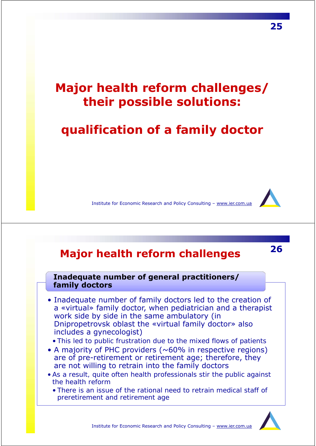## **Major health reform challenges/ their possible solutions:**

### *qualification of a family doctor*

Institute for Economic Research and Policy Consulting – www.ier.com.ua

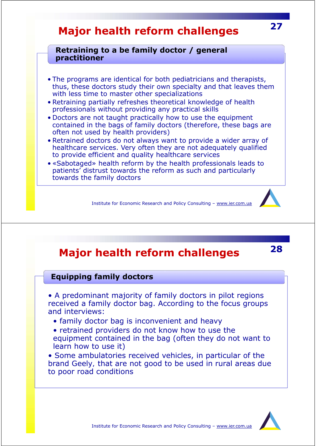### **Major health reform challenges**

#### **Retraining to a be family doctor / general practitioner**

- The programs are identical for both pediatricians and therapists, thus, these doctors study their own specialty and that leaves them with less time to master other specializations
- Retraining partially refreshes theoretical knowledge of health professionals without providing any practical skills
- Doctors are not taught practically how to use the equipment contained in the bags of family doctors (therefore, these bags are often not used by health providers)
- Retrained doctors do not always want to provide a wider array of healthcare services. Very often they are not adequately qualified to provide efficient and quality healthcare services
- «Sabotaged» health reform by the health professionals leads to patients' distrust towards the reform as such and particularly towards the family doctors

Institute for Economic Research and Policy Consulting – www.ier.com.ua

### **Major health reform challenges**

#### **Equipping family doctors**

• A predominant majority of family doctors in pilot regions received a family doctor bag. According to the focus groups and interviews:

- family doctor bag is inconvenient and heavy
- retrained providers do not know how to use the equipment contained in the bag (often they do not want to learn how to use it)

• Some ambulatories received vehicles, in particular of the brand *Geely,* that are not good to be used in rural areas due to poor road conditions



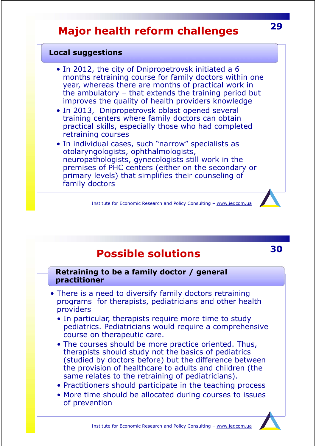### **Major health reform challenges**

#### **Local suggestions**

- In 2012, the city of Dnipropetrovsk initiated a 6 months retraining course for family doctors within one year, whereas there are months of practical work in the ambulatory – that extends the training period but improves the quality of health providers knowledge
- In 2013, Dnipropetrovsk oblast opened several training centers where family doctors can obtain practical skills, especially those who had completed retraining courses
- In individual cases, such "narrow" specialists as otolaryngologists, ophthalmologists, neuropathologists, gynecologists still work in the premises of PHC centers (either on the secondary or primary levels) that simplifies their counseling of family doctors

Institute for Economic Research and Policy Consulting – www.ier.com.ua

### **Possible solutions**

#### **Retraining to be a family doctor / general practitioner**

- There is a need to diversify family doctors retraining programs for therapists, pediatricians and other health providers
	- In particular, therapists require more time to study pediatrics. Pediatricians would require a comprehensive course on therapeutic care.
	- The courses should be more practice oriented. Thus, therapists should study not the basics of pediatrics (studied by doctors before) but the difference between the provision of healthcare to adults and children (the same relates to the retraining of pediatricians).
	- Practitioners should participate in the teaching process
	- More time should be allocated during courses to issues of prevention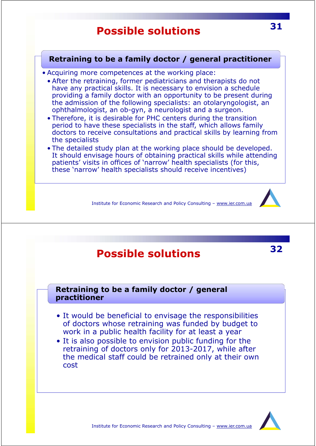### **Retraining to be a family doctor / general practitioner**

- Acquiring more competences at the working place:
	- After the retraining, former pediatricians and therapists do not have any practical skills. It is necessary to envision a schedule providing a family doctor with an opportunity to be present during the admission of the following specialists: an otolaryngologist, an ophthalmologist, an ob-gyn, a neurologist and a surgeon.
	- Therefore, it is desirable for PHC centers during the transition period to have these specialists in the staff, which allows family doctors to receive consultations and practical skills by learning from the specialists
	- The detailed study plan at the working place should be developed. It should envisage hours of obtaining practical skills while attending patients' visits in offices of 'narrow' health specialists (for this, these 'narrow' health specialists should receive incentives)

Institute for Economic Research and Policy Consulting – www.ier.com.ua

### **Possible solutions**

#### **Retraining to be a family doctor / general practitioner**

- It would be beneficial to envisage the responsibilities of doctors whose retraining was funded by budget to work in a public health facility for at least a year
- It is also possible to envision public funding for the retraining of doctors only for 2013-2017, while after the medical staff could be retrained only at their own cost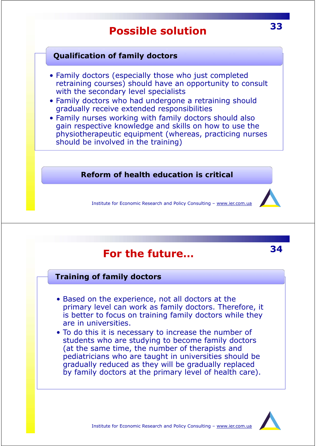### **Qualification of family doctors**

- Family doctors (especially those who just completed retraining courses) should have an opportunity to consult with the secondary level specialists
- Family doctors who had undergone a retraining should gradually receive extended responsibilities
- Family nurses working with family doctors should also gain respective knowledge and skills on how to use the physiotherapeutic equipment (whereas, practicing nurses should be involved in the training)

*Reform of health education is critical*

Institute for Economic Research and Policy Consulting – www.ier.com.ua

### **For the future…**

### **Training of family doctors**

- Based on the experience, not all doctors at the primary level can work as family doctors. Therefore, it is better to focus on training family doctors while they are in universities.
- To do this it is necessary to increase the number of students who are studying to become family doctors (at the same time, the number of therapists and pediatricians who are taught in universities should be gradually reduced as they will be gradually replaced by family doctors at the primary level of health care).

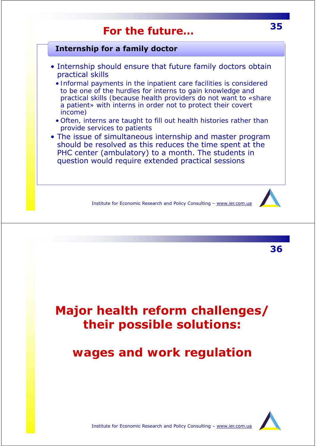### **For the future…**

### **Internship for a family doctor**

- Internship should ensure that future family doctors obtain practical skills
	- *Informal payments in the inpatient care facilities is considered to be one of the hurdles for interns to gain knowledge and practical skills (because health providers do not want to «share a patient» with interns in order not to protect their covert income)*
	- *Often, interns are taught to fill out health histories rather than provide services to patients*
- The issue of simultaneous internship and master program should be resolved as this reduces the time spent at the PHC center (ambulatory) to a month. The students in question would require extended practical sessions

Institute for Economic Research and Policy Consulting – www.ier.com.ua

**Major health reform challenges/ their possible solutions:**

*wages and work regulation*

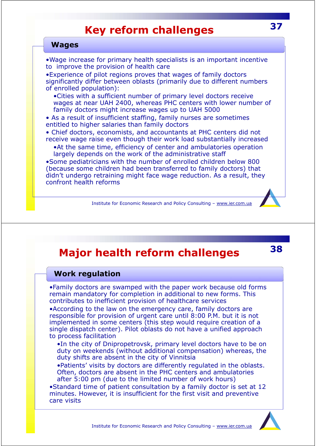### **Key reform challenges**

#### **Wages**

•Wage increase for primary health specialists is an important incentive to improve the provision of health care

•Experience of pilot regions proves that wages of family doctors significantly differ between oblasts (primarily due to different numbers of enrolled population):

•Cities with a sufficient number of primary level doctors receive wages at near UAH 2400, whereas PHC centers with lower number of family doctors might increase wages up to UAH 5000

• As a result of insufficient staffing, family nurses are sometimes entitled to higher salaries than family doctors

• Chief doctors, economists, and accountants at PHC centers did not receive wage raise even though their work load substantially increased

•At the same time, efficiency of center and ambulatories operation largely depends on the work of the administrative staff

•Some pediatricians with the number of enrolled children below 800 (because some children had been transferred to family doctors) that didn't undergo retraining might face wage reduction. As a result, they confront health reforms

Institute for Economic Research and Policy Consulting – www.ier.com.ua

### **Major health reform challenges**

#### **Work regulation**

•Family doctors are swamped with the paper work because old forms remain mandatory for completion in additional to new forms. This contributes to inefficient provision of healthcare services

•According to the law on the emergency care, family doctors are responsible for provision of urgent care until 8:00 P.M. but it is not implemented in some centers (this step would require creation of a single dispatch center). Pilot oblasts do not have a unified approach to process facilitation

•In the city of Dnipropetrovsk, primary level doctors have to be on duty on weekends (without additional compensation) whereas, the duty shifts are absent in the city of Vinnitsia

•Patients' visits by doctors are differently regulated in the oblasts. Often, doctors are absent in the PHC centers and ambulatories after 5:00 pm (due to the limited number of work hours)

•Standard time of patient consultation by a family doctor is set at 12 minutes. However, it is insufficient for the first visit and preventive care visits

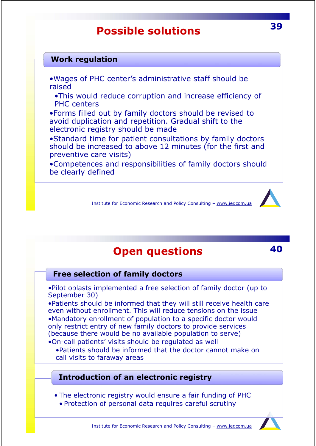### **Work regulation**

- •Wages of PHC center's administrative staff should be raised
	- •This would reduce corruption and increase efficiency of PHC centers

•Forms filled out by family doctors should be revised to avoid duplication and repetition. Gradual shift to the electronic registry should be made

•Standard time for patient consultations by family doctors should be increased to above 12 minutes (for the first and preventive care visits)

•Competences and responsibilities of family doctors should be clearly defined

Institute for Economic Research and Policy Consulting – www.ier.com.ua

### **Open questions 40**

**Free selection of family doctors**

•Pilot oblasts implemented a free selection of family doctor (up to September 30)

•Patients should be informed that they will still receive health care even without enrollment. This will reduce tensions on the issue •Mandatory enrollment of population to a specific doctor would only restrict entry of new family doctors to provide services (because there would be no available population to serve)

•On-call patients' visits should be regulated as well

•Patients should be informed that the doctor cannot make on call visits to faraway areas

### **Introduction of an electronic registry**

• The electronic registry would ensure a fair funding of PHC

• Protection of personal data requires careful scrutiny



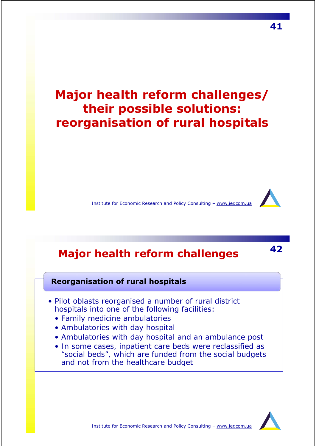## **Major health reform challenges/ their possible solutions:** *reorganisation of rural hospitals*



Institute for Economic Research and Policy Consulting – www.ier.com.ua

## **<sup>42</sup> Major health reform challenges**

#### **Reorganisation of rural hospitals**

- Pilot oblasts reorganised a number of rural district hospitals into one of the following facilities:
	- *Family medicine ambulatories*
	- *Ambulatories with day hospital*
	- *Ambulatories with day hospital and an ambulance post*
	- *In some cases, inpatient care beds were reclassified as "social beds", which are funded from the social budgets and not from the healthcare budget*

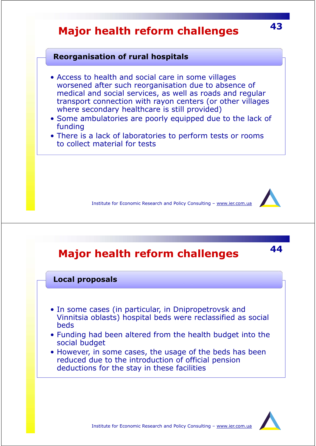## **<sup>43</sup> Major health reform challenges**

#### **Reorganisation of rural hospitals**

- Access to health and social care in some villages worsened after such reorganisation due to absence of medical and social services, as well as roads and regular transport connection with rayon centers (or other villages where secondary healthcare is still provided)
- Some ambulatories are poorly equipped due to the lack of funding
- There is a lack of laboratories to perform tests or rooms to collect material for tests

Institute for Economic Research and Policy Consulting – www.ier.com.ua

## **<sup>44</sup> Major health reform challenges**

#### **Local proposals**

- In some cases (in particular, in Dnipropetrovsk and Vinnitsia oblasts) hospital beds were reclassified as social beds
- Funding had been altered from the health budget into the social budget
- However, in some cases, the usage of the beds has been reduced due to the introduction of official pension deductions for the stay in these facilities

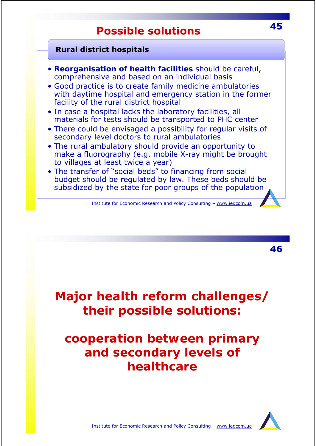### **Rural district hospitals**

- *Reorganisation of health facilities* should be careful, comprehensive and based on an individual basis
- Good practice is to create family medicine ambulatories with daytime hospital and emergency station in the former facility of the rural district hospital
- In case a hospital lacks the laboratory facilities, all materials for tests should be transported to PHC center
- There could be envisaged a possibility for regular visits of secondary level doctors to rural ambulatories
- The rural ambulatory should provide an opportunity to make a fluorography (e.g. mobile X-ray might be brought to villages at least twice a year)
- The transfer of "social beds" to financing from social budget should be regulated by law. These beds should be subsidized by the state for poor groups of the population

Institute for Economic Research and Policy Consulting – www.ier.com.ua

**Major health reform challenges/ their possible solutions:**

### *cooperation between primary and secondary levels of healthcare*

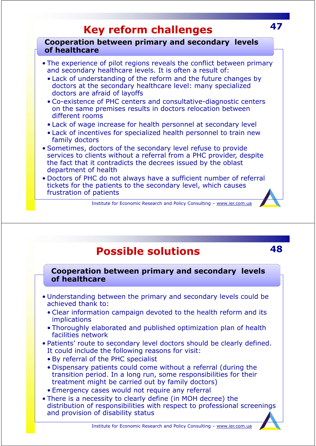## **Key reform challenges <sup>47</sup>**

**Cooperation between primary and secondary levels of healthcare**

- The experience of pilot regions reveals the conflict between primary and secondary healthcare levels. It is often a result of:
	- Lack of understanding of the reform and the future changes by doctors at the secondary healthcare level: many specialized doctors are afraid of layoffs
	- Co-existence of PHC centers and consultative-diagnostic centers on the same premises results in doctors relocation between different rooms
	- Lack of wage increase for health personnel at secondary level
	- Lack of incentives for specialized health personnel to train new family doctors
- Sometimes, doctors of the secondary level refuse to provide services to clients without a referral from a PHC provider, despite the fact that it contradicts the decrees issued by the oblast department of health
- Doctors of PHC do not always have a sufficient number of referral tickets for the patients to the secondary level, which causes frustration of patients

Institute for Economic Research and Policy Consulting – www.ier.com.ua

### **Possible solutions 48**

**Cooperation between primary and secondary levels of healthcare**

- Understanding between the primary and secondary levels could be achieved thank to:
	- Clear information campaign devoted to the health reform and its implications
	- Thoroughly elaborated and published optimization plan of health facilities network
- Patients' route to secondary level doctors should be clearly defined. It could include the following reasons for visit:
	- By referral of the PHC specialist
	- Dispensary patients could come without a referral (during the transition period. In a long run, some responsibilities for their treatment might be carried out by family doctors)
	- Emergency cases would not require any referral
- There is a necessity to clearly define (in MOH decree) the distribution of responsibilities with respect to professional screenings and provision of disability status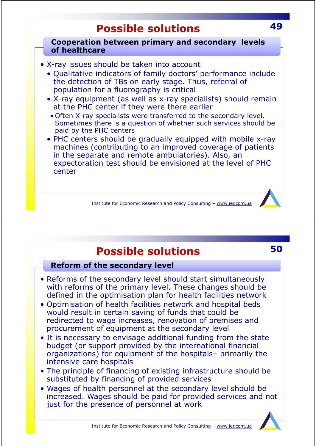**Cooperation between primary and secondary levels of healthcare**

Institute for Economic Research and Policy Consulting – www.ier.com.ua • X-ray issues should be taken into account • Qualitative indicators of family doctors' performance include the detection of TBs on early stage. Thus, referral of population for a fluorography is critical • X-ray equipment (as well as x-ray specialists) should remain at the PHC center if they were there earlier • Often X-ray specialists were transferred to the secondary level. Sometimes there is a question of whether such services should be paid by the PHC centers • PHC centers should be gradually equipped with mobile x-ray machines (contributing to an improved coverage of patients in the separate and remote ambulatories). Also, an expectoration test should be envisioned at the level of PHC center

### **Possible solutions**

### **Reform of the secondary level**

- Reforms of the secondary level should start simultaneously with reforms of the primary level. These changes should be defined in the optimisation plan for health facilities network
- Optimisation of health facilities network and hospital beds would result in certain saving of funds that could be redirected to wage increases, renovation of premises and procurement of equipment at the secondary level
- It is necessary to envisage additional funding from the state budget (or support provided by the international financial organizations) for equipment of the hospitals– primarily the intensive care hospitals
- The principle of financing of existing infrastructure should be substituted by financing of provided services
- Wages of health personnel at the secondary level should be increased. Wages should be paid for provided services and not just for the presence of personnel at work

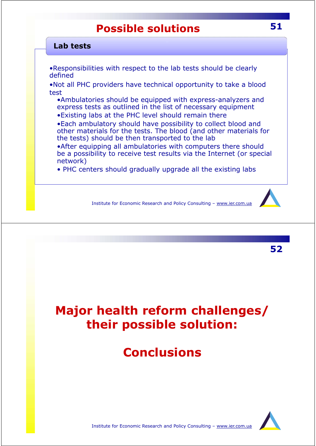#### **Lab tests**

•Responsibilities with respect to the lab tests should be clearly defined

•Not all PHC providers have technical opportunity to take a blood test

•Ambulatories should be equipped with express-analyzers and express tests as outlined in the list of necessary equipment

•Existing labs at the PHC level should remain there

•Each ambulatory should have possibility to collect blood and other materials for the tests. The blood (and other materials for the tests) should be then transported to the lab

•After equipping all ambulatories with computers there should be a possibility to receive test results via the Internet (or special network)

• PHC centers should gradually upgrade all the existing labs

Institute for Economic Research and Policy Consulting – www.ier.com.ua



**52**

# **Major health reform challenges/ their possible solution:**

## **Conclusions**

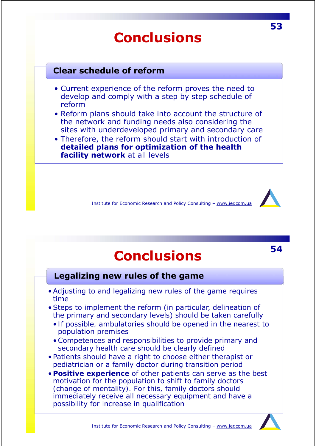# **Conclusions**

### **Clear schedule of reform**

- Current experience of the reform proves the need to develop and comply with a step by step schedule of reform
- Reform plans should take into account the structure of the network and funding needs also considering the sites with underdeveloped primary and secondary care
- Therefore, the reform should start with introduction of **detailed plans for optimization of the health facility network** at all levels

Institute for Economic Research and Policy Consulting – www.ier.com.ua

# **<sup>54</sup> Conclusions**

### **Legalizing new rules of the game**

- Adjusting to and legalizing new rules of the game requires time
- Steps to implement the reform (in particular, delineation of the primary and secondary levels) should be taken carefully
	- *If possible, ambulatories should be opened in the nearest to population premises*
	- •*Competences and responsibilities to provide primary and secondary health care should be clearly defined*
- Patients should have a right to choose either therapist or pediatrician or a family doctor during transition period
- *Positive experience of other patients can serve as the best motivation for the population to shift to family doctors (change of mentality). For this, family doctors should immediately receive all necessary equipment and have a possibility for increase in qualification*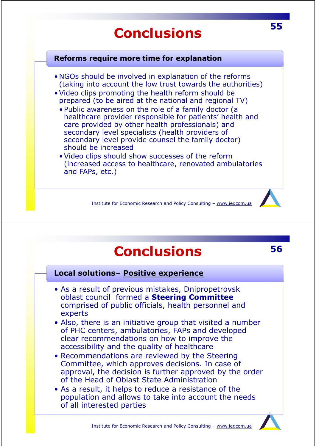# **<sup>55</sup> Conclusions**

#### **Reforms require more time for explanation**

- NGOs should be involved in explanation of the reforms (taking into account the low trust towards the authorities)
- Video clips promoting the health reform should be prepared (to be aired at the national and regional TV)
	- Public awareness on the role of a family doctor (a healthcare provider responsible for patients' health and care provided by other health professionals) and secondary level specialists (health providers of secondary level provide counsel the family doctor) should be increased
	- Video clips should show successes of the reform (increased access to healthcare, renovated ambulatories and FAPs, etc.)

Institute for Economic Research and Policy Consulting – www.ier.com.ua

# **Conclusions <sup>56</sup>**

**Local solutions– Positive experience**

- As a result of previous mistakes, Dnipropetrovsk oblast council formed a **Steering Committee**  comprised of public officials, health personnel and experts
- Also, there is an initiative group that visited a number of PHC centers, ambulatories, FAPs and developed clear recommendations on how to improve the accessibility and the quality of healthcare
- Recommendations are reviewed by the Steering Committee, which approves decisions. In case of approval, the decision is further approved by the order of the Head of Oblast State Administration
- As a result, it helps to reduce a resistance of the population and allows to take into account the needs of all interested parties

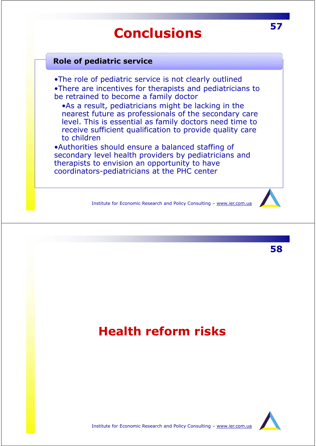# **<sup>57</sup> Conclusions**

### **Role of pediatric service**

•The role of pediatric service is not clearly outlined •There are incentives for therapists and pediatricians to be retrained to become a family doctor

•As a result, pediatricians might be lacking in the nearest future as professionals of the secondary care level. This is essential as family doctors need time to receive sufficient qualification to provide quality care to children

•Authorities should ensure a balanced staffing of secondary level health providers by pediatricians and therapists to envision an opportunity to have coordinators-pediatricians at the PHC center

Institute for Economic Research and Policy Consulting – www.ier.com.ua



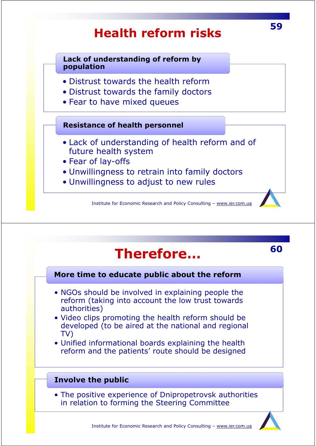# Institute for Economic Research and Policy Consulting – www.ier.com.ua **<sup>59</sup> Health reform risks** • Distrust towards the health reform • Distrust towards the family doctors • Fear to have mixed queues **Lack of understanding of reform by population** • Lack of understanding of health reform and of future health system • Fear of lay-offs • Unwillingness to retrain into family doctors • Unwillingness to adjust to new rules **Resistance of health personnel**

# **<sup>60</sup> Therefore…**

**More time to educate public about the reform**

- NGOs should be involved in explaining people the reform (taking into account the low trust towards authorities)
- Video clips promoting the health reform should be developed (to be aired at the national and regional TV)
- Unified informational boards explaining the health reform and the patients' route should be designed

### **Involve the public**

• The positive experience of Dnipropetrovsk authorities in relation to forming the Steering Committee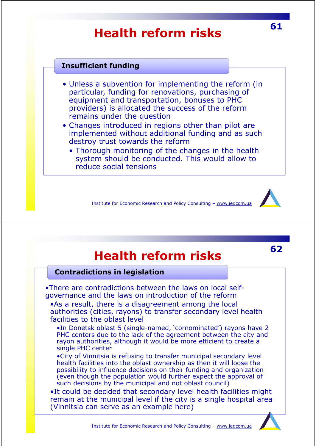# **<sup>61</sup> Health reform risks**

### **Insufficient funding**

- Unless a subvention for implementing the reform (in particular, funding for renovations, purchasing of equipment and transportation, bonuses to PHC providers) is allocated the success of the reform remains under the question
- Changes introduced in regions other than pilot are implemented without additional funding and as such destroy trust towards the reform
	- Thorough monitoring of the changes in the health system should be conducted. This would allow to reduce social tensions

Institute for Economic Research and Policy Consulting – www.ier.com.ua



#### **Contradictions in legislation**

•There are contradictions between the laws on local selfgovernance and the laws on introduction of the reform

•As a result, there is a disagreement among the local authorities (cities, rayons) to transfer secondary level health facilities to the oblast level

•In Donetsk oblast 5 (single-named, 'cornominated') rayons have 2 PHC centers due to the lack of the agreement between the city and rayon authorities, although it would be more efficient to create a single PHC center

•City of Vinnitsia is refusing to transfer municipal secondary level health facilities into the oblast ownership as then it will loose the possibility to influence decisions on their funding and organization (even though the population would further expect the approval of such decisions by the municipal and not oblast council)

•It could be decided that secondary level health facilities might remain at the municipal level if the city is a single hospital area (Vinnitsia can serve as an example here)

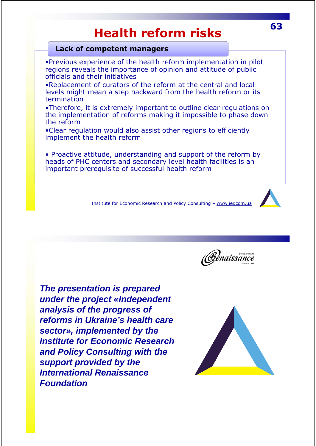# **<sup>63</sup> Health reform risks**

#### **Lack of competent managers**

•Previous experience of the health reform implementation in pilot regions reveals the importance of opinion and attitude of public officials and their initiatives

•Replacement of curators of the reform at the central and local levels might mean a step backward from the health reform or its termination

•Therefore, it is extremely important to outline clear regulations on the implementation of reforms making it impossible to phase down the reform

•Clear regulation would also assist other regions to efficiently implement the health reform

• Proactive attitude, understanding and support of the reform by heads of PHC centers and secondary level health facilities is an important prerequisite of successful health reform

Institute for Economic Research and Policy Consulting – www.ier.com.ua



*The presentation is prepared under the project «Independent analysis of the progress of reforms in Ukraine's health care sector», implemented by the Institute for Economic Research and Policy Consulting with the support provided by the International Renaissance Foundation*